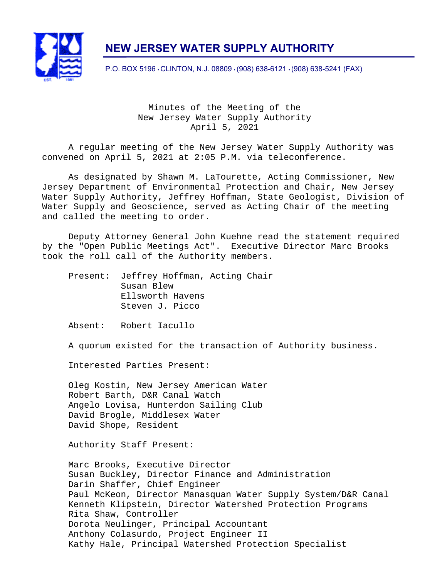

# **NEW JERSEY WATER SUPPLY AUTHORITY**

P.O. BOX 5196 • CLINTON, N.J. 08809 • (908) 638-6121 • (908) 638-5241 (FAX)

Minutes of the Meeting of the New Jersey Water Supply Authority April 5, 2021

A regular meeting of the New Jersey Water Supply Authority was convened on April 5, 2021 at 2:05 P.M. via teleconference.

As designated by Shawn M. LaTourette, Acting Commissioner, New Jersey Department of Environmental Protection and Chair, New Jersey Water Supply Authority, Jeffrey Hoffman, State Geologist, Division of Water Supply and Geoscience, served as Acting Chair of the meeting and called the meeting to order.

Deputy Attorney General John Kuehne read the statement required by the "Open Public Meetings Act". Executive Director Marc Brooks took the roll call of the Authority members.

Present: Jeffrey Hoffman, Acting Chair Susan Blew Ellsworth Havens Steven J. Picco

Absent: Robert Iacullo

A quorum existed for the transaction of Authority business.

Interested Parties Present:

Oleg Kostin, New Jersey American Water Robert Barth, D&R Canal Watch Angelo Lovisa, Hunterdon Sailing Club David Brogle, Middlesex Water David Shope, Resident

Authority Staff Present:

Marc Brooks, Executive Director Susan Buckley, Director Finance and Administration Darin Shaffer, Chief Engineer Paul McKeon, Director Manasquan Water Supply System/D&R Canal Kenneth Klipstein, Director Watershed Protection Programs Rita Shaw, Controller Dorota Neulinger, Principal Accountant Anthony Colasurdo, Project Engineer II Kathy Hale, Principal Watershed Protection Specialist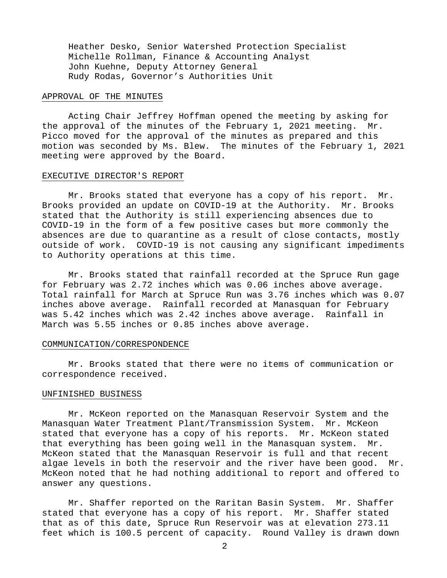Heather Desko, Senior Watershed Protection Specialist Michelle Rollman, Finance & Accounting Analyst John Kuehne, Deputy Attorney General Rudy Rodas, Governor's Authorities Unit

#### APPROVAL OF THE MINUTES

Acting Chair Jeffrey Hoffman opened the meeting by asking for the approval of the minutes of the February 1, 2021 meeting. Mr. Picco moved for the approval of the minutes as prepared and this motion was seconded by Ms. Blew. The minutes of the February 1, 2021 meeting were approved by the Board.

#### EXECUTIVE DIRECTOR'S REPORT

Mr. Brooks stated that everyone has a copy of his report. Mr. Brooks provided an update on COVID-19 at the Authority. Mr. Brooks stated that the Authority is still experiencing absences due to COVID-19 in the form of a few positive cases but more commonly the absences are due to quarantine as a result of close contacts, mostly outside of work. COVID-19 is not causing any significant impediments to Authority operations at this time.

Mr. Brooks stated that rainfall recorded at the Spruce Run gage for February was 2.72 inches which was 0.06 inches above average. Total rainfall for March at Spruce Run was 3.76 inches which was 0.07 inches above average. Rainfall recorded at Manasquan for February was 5.42 inches which was 2.42 inches above average. Rainfall in March was 5.55 inches or 0.85 inches above average.

#### COMMUNICATION/CORRESPONDENCE

Mr. Brooks stated that there were no items of communication or correspondence received.

#### UNFINISHED BUSINESS

Mr. McKeon reported on the Manasquan Reservoir System and the Manasquan Water Treatment Plant/Transmission System. Mr. McKeon stated that everyone has a copy of his reports. Mr. McKeon stated that everything has been going well in the Manasquan system. Mr. McKeon stated that the Manasquan Reservoir is full and that recent algae levels in both the reservoir and the river have been good. Mr. McKeon noted that he had nothing additional to report and offered to answer any questions.

Mr. Shaffer reported on the Raritan Basin System. Mr. Shaffer stated that everyone has a copy of his report. Mr. Shaffer stated that as of this date, Spruce Run Reservoir was at elevation 273.11 feet which is 100.5 percent of capacity. Round Valley is drawn down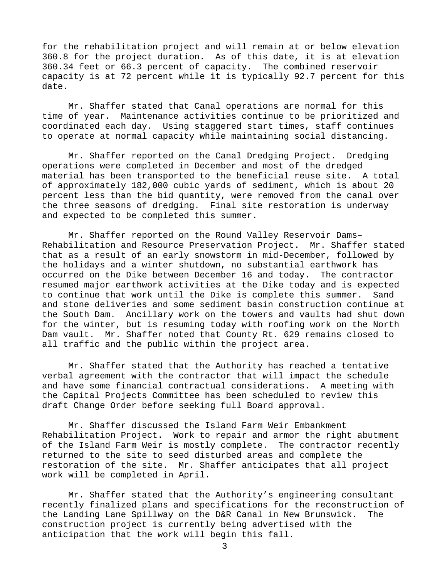for the rehabilitation project and will remain at or below elevation 360.8 for the project duration. As of this date, it is at elevation 360.34 feet or 66.3 percent of capacity. The combined reservoir capacity is at 72 percent while it is typically 92.7 percent for this date.

Mr. Shaffer stated that Canal operations are normal for this time of year. Maintenance activities continue to be prioritized and coordinated each day. Using staggered start times, staff continues to operate at normal capacity while maintaining social distancing.

Mr. Shaffer reported on the Canal Dredging Project. Dredging operations were completed in December and most of the dredged material has been transported to the beneficial reuse site. A total of approximately 182,000 cubic yards of sediment, which is about 20 percent less than the bid quantity, were removed from the canal over the three seasons of dredging. Final site restoration is underway and expected to be completed this summer.

Mr. Shaffer reported on the Round Valley Reservoir Dams– Rehabilitation and Resource Preservation Project. Mr. Shaffer stated that as a result of an early snowstorm in mid-December, followed by the holidays and a winter shutdown, no substantial earthwork has occurred on the Dike between December 16 and today. The contractor resumed major earthwork activities at the Dike today and is expected to continue that work until the Dike is complete this summer. Sand and stone deliveries and some sediment basin construction continue at the South Dam. Ancillary work on the towers and vaults had shut down for the winter, but is resuming today with roofing work on the North Dam vault. Mr. Shaffer noted that County Rt. 629 remains closed to all traffic and the public within the project area.

Mr. Shaffer stated that the Authority has reached a tentative verbal agreement with the contractor that will impact the schedule and have some financial contractual considerations. A meeting with the Capital Projects Committee has been scheduled to review this draft Change Order before seeking full Board approval.

Mr. Shaffer discussed the Island Farm Weir Embankment Rehabilitation Project. Work to repair and armor the right abutment of the Island Farm Weir is mostly complete. The contractor recently returned to the site to seed disturbed areas and complete the restoration of the site. Mr. Shaffer anticipates that all project work will be completed in April.

Mr. Shaffer stated that the Authority's engineering consultant recently finalized plans and specifications for the reconstruction of the Landing Lane Spillway on the D&R Canal in New Brunswick. The construction project is currently being advertised with the anticipation that the work will begin this fall.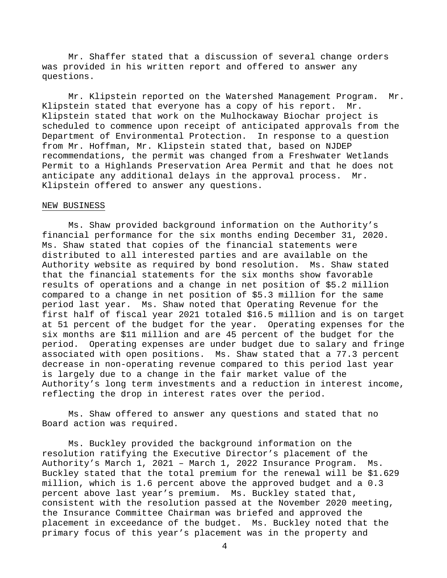Mr. Shaffer stated that a discussion of several change orders was provided in his written report and offered to answer any questions.

 Mr. Klipstein reported on the Watershed Management Program. Mr. Klipstein stated that everyone has a copy of his report. Mr. Klipstein stated that work on the Mulhockaway Biochar project is scheduled to commence upon receipt of anticipated approvals from the Department of Environmental Protection. In response to a question from Mr. Hoffman, Mr. Klipstein stated that, based on NJDEP recommendations, the permit was changed from a Freshwater Wetlands Permit to a Highlands Preservation Area Permit and that he does not anticipate any additional delays in the approval process. Mr. Klipstein offered to answer any questions.

### NEW BUSINESS

Ms. Shaw provided background information on the Authority's financial performance for the six months ending December 31, 2020. Ms. Shaw stated that copies of the financial statements were distributed to all interested parties and are available on the Authority website as required by bond resolution. Ms. Shaw stated that the financial statements for the six months show favorable results of operations and a change in net position of \$5.2 million compared to a change in net position of \$5.3 million for the same period last year. Ms. Shaw noted that Operating Revenue for the first half of fiscal year 2021 totaled \$16.5 million and is on target at 51 percent of the budget for the year. Operating expenses for the six months are \$11 million and are 45 percent of the budget for the period. Operating expenses are under budget due to salary and fringe associated with open positions. Ms. Shaw stated that a 77.3 percent decrease in non-operating revenue compared to this period last year is largely due to a change in the fair market value of the Authority's long term investments and a reduction in interest income, reflecting the drop in interest rates over the period.

Ms. Shaw offered to answer any questions and stated that no Board action was required.

Ms. Buckley provided the background information on the resolution ratifying the Executive Director's placement of the Authority's March 1, 2021 – March 1, 2022 Insurance Program. Ms. Buckley stated that the total premium for the renewal will be \$1.629 million, which is 1.6 percent above the approved budget and a 0.3 percent above last year's premium. Ms. Buckley stated that, consistent with the resolution passed at the November 2020 meeting, the Insurance Committee Chairman was briefed and approved the placement in exceedance of the budget. Ms. Buckley noted that the primary focus of this year's placement was in the property and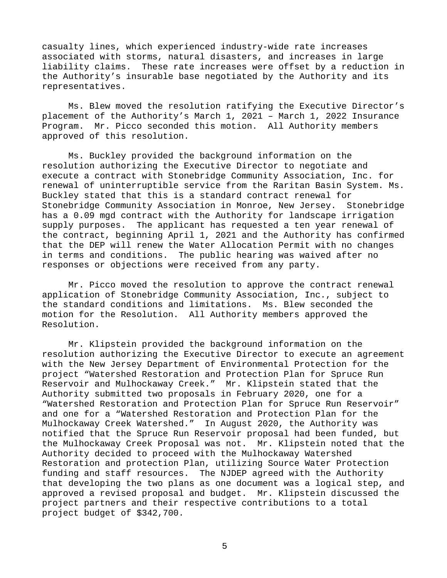casualty lines, which experienced industry-wide rate increases associated with storms, natural disasters, and increases in large liability claims. These rate increases were offset by a reduction in the Authority's insurable base negotiated by the Authority and its representatives.

Ms. Blew moved the resolution ratifying the Executive Director's placement of the Authority's March 1, 2021 – March 1, 2022 Insurance Program. Mr. Picco seconded this motion. All Authority members approved of this resolution.

Ms. Buckley provided the background information on the resolution authorizing the Executive Director to negotiate and execute a contract with Stonebridge Community Association, Inc. for renewal of uninterruptible service from the Raritan Basin System. Ms. Buckley stated that this is a standard contract renewal for Stonebridge Community Association in Monroe, New Jersey. Stonebridge has a 0.09 mgd contract with the Authority for landscape irrigation supply purposes. The applicant has requested a ten year renewal of the contract, beginning April 1, 2021 and the Authority has confirmed that the DEP will renew the Water Allocation Permit with no changes in terms and conditions. The public hearing was waived after no responses or objections were received from any party.

Mr. Picco moved the resolution to approve the contract renewal application of Stonebridge Community Association, Inc., subject to the standard conditions and limitations. Ms. Blew seconded the motion for the Resolution. All Authority members approved the Resolution.

Mr. Klipstein provided the background information on the resolution authorizing the Executive Director to execute an agreement with the New Jersey Department of Environmental Protection for the project "Watershed Restoration and Protection Plan for Spruce Run Reservoir and Mulhockaway Creek." Mr. Klipstein stated that the Authority submitted two proposals in February 2020, one for a "Watershed Restoration and Protection Plan for Spruce Run Reservoir" and one for a "Watershed Restoration and Protection Plan for the Mulhockaway Creek Watershed." In August 2020, the Authority was notified that the Spruce Run Reservoir proposal had been funded, but the Mulhockaway Creek Proposal was not. Mr. Klipstein noted that the Authority decided to proceed with the Mulhockaway Watershed Restoration and protection Plan, utilizing Source Water Protection funding and staff resources. The NJDEP agreed with the Authority that developing the two plans as one document was a logical step, and approved a revised proposal and budget. Mr. Klipstein discussed the project partners and their respective contributions to a total project budget of \$342,700.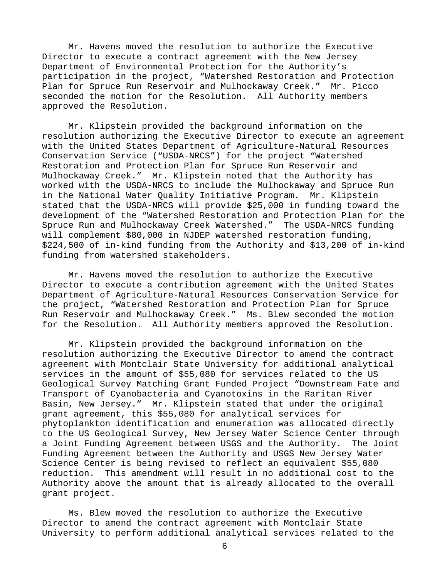Mr. Havens moved the resolution to authorize the Executive Director to execute a contract agreement with the New Jersey Department of Environmental Protection for the Authority's participation in the project, "Watershed Restoration and Protection Plan for Spruce Run Reservoir and Mulhockaway Creek." Mr. Picco seconded the motion for the Resolution. All Authority members approved the Resolution.

Mr. Klipstein provided the background information on the resolution authorizing the Executive Director to execute an agreement with the United States Department of Agriculture-Natural Resources Conservation Service ("USDA-NRCS") for the project "Watershed Restoration and Protection Plan for Spruce Run Reservoir and Mulhockaway Creek." Mr. Klipstein noted that the Authority has worked with the USDA-NRCS to include the Mulhockaway and Spruce Run in the National Water Quality Initiative Program. Mr. Klipstein stated that the USDA-NRCS will provide \$25,000 in funding toward the development of the "Watershed Restoration and Protection Plan for the Spruce Run and Mulhockaway Creek Watershed." The USDA-NRCS funding will complement \$80,000 in NJDEP watershed restoration funding, \$224,500 of in-kind funding from the Authority and \$13,200 of in-kind funding from watershed stakeholders.

Mr. Havens moved the resolution to authorize the Executive Director to execute a contribution agreement with the United States Department of Agriculture-Natural Resources Conservation Service for the project, "Watershed Restoration and Protection Plan for Spruce Run Reservoir and Mulhockaway Creek." Ms. Blew seconded the motion for the Resolution. All Authority members approved the Resolution.

Mr. Klipstein provided the background information on the resolution authorizing the Executive Director to amend the contract agreement with Montclair State University for additional analytical services in the amount of \$55,080 for services related to the US Geological Survey Matching Grant Funded Project "Downstream Fate and Transport of Cyanobacteria and Cyanotoxins in the Raritan River Basin, New Jersey." Mr. Klipstein stated that under the original grant agreement, this \$55,080 for analytical services for phytoplankton identification and enumeration was allocated directly to the US Geological Survey, New Jersey Water Science Center through a Joint Funding Agreement between USGS and the Authority. The Joint Funding Agreement between the Authority and USGS New Jersey Water Science Center is being revised to reflect an equivalent \$55,080 reduction. This amendment will result in no additional cost to the Authority above the amount that is already allocated to the overall grant project.

Ms. Blew moved the resolution to authorize the Executive Director to amend the contract agreement with Montclair State University to perform additional analytical services related to the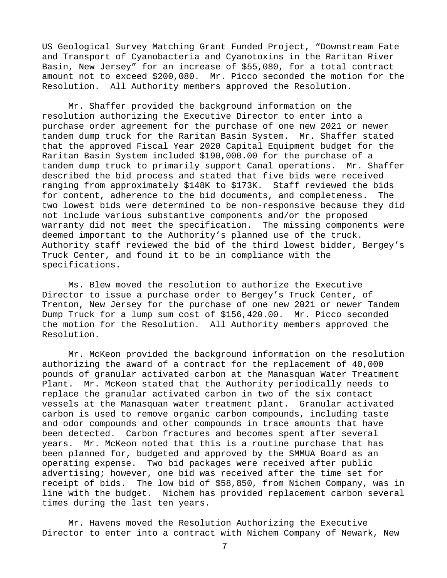US Geological Survey Matching Grant Funded Project, "Downstream Fate and Transport of Cyanobacteria and Cyanotoxins in the Raritan River Basin, New Jersey" for an increase of \$55,080, for a total contract amount not to exceed \$200,080. Mr. Picco seconded the motion for the Resolution. All Authority members approved the Resolution.

Mr. Shaffer provided the background information on the resolution authorizing the Executive Director to enter into a purchase order agreement for the purchase of one new 2021 or newer tandem dump truck for the Raritan Basin System. Mr. Shaffer stated that the approved Fiscal Year 2020 Capital Equipment budget for the Raritan Basin System included \$190,000.00 for the purchase of a tandem dump truck to primarily support Canal operations. Mr. Shaffer described the bid process and stated that five bids were received ranging from approximately \$148K to \$173K. Staff reviewed the bids for content, adherence to the bid documents, and completeness. The two lowest bids were determined to be non-responsive because they did not include various substantive components and/or the proposed warranty did not meet the specification. The missing components were deemed important to the Authority's planned use of the truck. Authority staff reviewed the bid of the third lowest bidder, Bergey's Truck Center, and found it to be in compliance with the specifications.

Ms. Blew moved the resolution to authorize the Executive Director to issue a purchase order to Bergey's Truck Center, of Trenton, New Jersey for the purchase of one new 2021 or newer Tandem Dump Truck for a lump sum cost of \$156,420.00. Mr. Picco seconded the motion for the Resolution. All Authority members approved the Resolution.

Mr. McKeon provided the background information on the resolution authorizing the award of a contract for the replacement of 40,000 pounds of granular activated carbon at the Manasquan Water Treatment Plant. Mr. McKeon stated that the Authority periodically needs to replace the granular activated carbon in two of the six contact vessels at the Manasquan water treatment plant. Granular activated carbon is used to remove organic carbon compounds, including taste and odor compounds and other compounds in trace amounts that have been detected. Carbon fractures and becomes spent after several years. Mr. McKeon noted that this is a routine purchase that has been planned for, budgeted and approved by the SMMUA Board as an operating expense. Two bid packages were received after public advertising; however, one bid was received after the time set for receipt of bids. The low bid of \$58,850, from Nichem Company, was in line with the budget. Nichem has provided replacement carbon several times during the last ten years.

Mr. Havens moved the Resolution Authorizing the Executive Director to enter into a contract with Nichem Company of Newark, New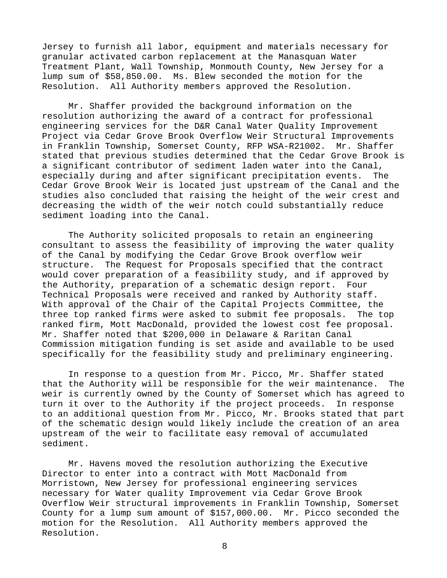Jersey to furnish all labor, equipment and materials necessary for granular activated carbon replacement at the Manasquan Water Treatment Plant, Wall Township, Monmouth County, New Jersey for a lump sum of \$58,850.00. Ms. Blew seconded the motion for the Resolution. All Authority members approved the Resolution.

Mr. Shaffer provided the background information on the resolution authorizing the award of a contract for professional engineering services for the D&R Canal Water Quality Improvement Project via Cedar Grove Brook Overflow Weir Structural Improvements in Franklin Township, Somerset County, RFP WSA-R21002. Mr. Shaffer stated that previous studies determined that the Cedar Grove Brook is a significant contributor of sediment laden water into the Canal, especially during and after significant precipitation events. The Cedar Grove Brook Weir is located just upstream of the Canal and the studies also concluded that raising the height of the weir crest and decreasing the width of the weir notch could substantially reduce sediment loading into the Canal.

The Authority solicited proposals to retain an engineering consultant to assess the feasibility of improving the water quality of the Canal by modifying the Cedar Grove Brook overflow weir structure. The Request for Proposals specified that the contract would cover preparation of a feasibility study, and if approved by the Authority, preparation of a schematic design report. Four Technical Proposals were received and ranked by Authority staff. With approval of the Chair of the Capital Projects Committee, the three top ranked firms were asked to submit fee proposals. The top ranked firm, Mott MacDonald, provided the lowest cost fee proposal. Mr. Shaffer noted that \$200,000 in Delaware & Raritan Canal Commission mitigation funding is set aside and available to be used specifically for the feasibility study and preliminary engineering.

 In response to a question from Mr. Picco, Mr. Shaffer stated that the Authority will be responsible for the weir maintenance. The weir is currently owned by the County of Somerset which has agreed to turn it over to the Authority if the project proceeds. In response to an additional question from Mr. Picco, Mr. Brooks stated that part of the schematic design would likely include the creation of an area upstream of the weir to facilitate easy removal of accumulated sediment.

Mr. Havens moved the resolution authorizing the Executive Director to enter into a contract with Mott MacDonald from Morristown, New Jersey for professional engineering services necessary for Water quality Improvement via Cedar Grove Brook Overflow Weir structural improvements in Franklin Township, Somerset County for a lump sum amount of \$157,000.00. Mr. Picco seconded the motion for the Resolution. All Authority members approved the Resolution.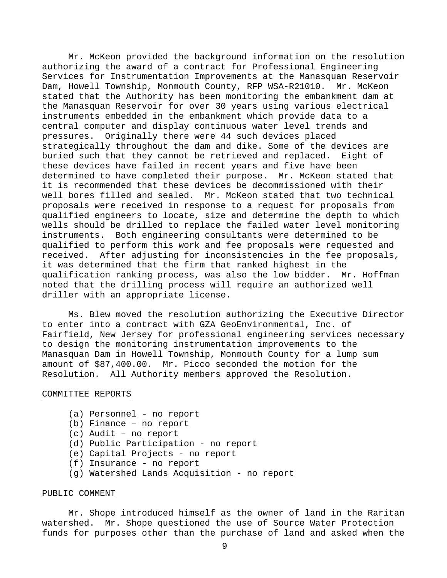Mr. McKeon provided the background information on the resolution authorizing the award of a contract for Professional Engineering Services for Instrumentation Improvements at the Manasquan Reservoir Dam, Howell Township, Monmouth County, RFP WSA-R21010. Mr. McKeon stated that the Authority has been monitoring the embankment dam at the Manasquan Reservoir for over 30 years using various electrical instruments embedded in the embankment which provide data to a central computer and display continuous water level trends and pressures. Originally there were 44 such devices placed strategically throughout the dam and dike. Some of the devices are buried such that they cannot be retrieved and replaced. Eight of these devices have failed in recent years and five have been determined to have completed their purpose. Mr. McKeon stated that it is recommended that these devices be decommissioned with their well bores filled and sealed. Mr. McKeon stated that two technical proposals were received in response to a request for proposals from qualified engineers to locate, size and determine the depth to which wells should be drilled to replace the failed water level monitoring instruments. Both engineering consultants were determined to be qualified to perform this work and fee proposals were requested and received. After adjusting for inconsistencies in the fee proposals, it was determined that the firm that ranked highest in the qualification ranking process, was also the low bidder. Mr. Hoffman noted that the drilling process will require an authorized well driller with an appropriate license.

Ms. Blew moved the resolution authorizing the Executive Director to enter into a contract with GZA GeoEnvironmental, Inc. of Fairfield, New Jersey for professional engineering services necessary to design the monitoring instrumentation improvements to the Manasquan Dam in Howell Township, Monmouth County for a lump sum amount of \$87,400.00. Mr. Picco seconded the motion for the Resolution. All Authority members approved the Resolution.

### COMMITTEE REPORTS

- (a) Personnel no report
- (b) Finance no report
- (c) Audit no report
- (d) Public Participation no report
- (e) Capital Projects no report
- (f) Insurance no report
- (g) Watershed Lands Acquisition no report

# PUBLIC COMMENT

 Mr. Shope introduced himself as the owner of land in the Raritan watershed. Mr. Shope questioned the use of Source Water Protection funds for purposes other than the purchase of land and asked when the